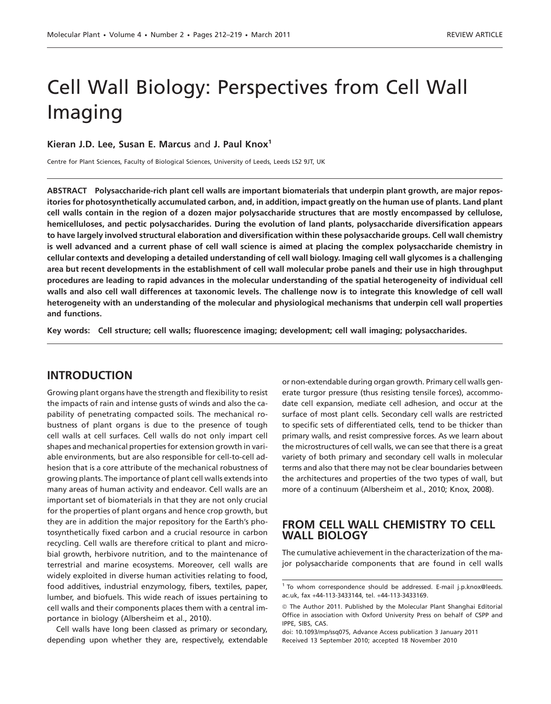# Cell Wall Biology: Perspectives from Cell Wall Imaging

#### Kieran J.D. Lee, Susan E. Marcus and J. Paul Knox<sup>1</sup>

Centre for Plant Sciences, Faculty of Biological Sciences, University of Leeds, Leeds LS2 9JT, UK

ABSTRACT Polysaccharide-rich plant cell walls are important biomaterials that underpin plant growth, are major repositories for photosynthetically accumulated carbon, and, in addition, impact greatly on the human use of plants. Land plant cell walls contain in the region of a dozen major polysaccharide structures that are mostly encompassed by cellulose, hemicelluloses, and pectic polysaccharides. During the evolution of land plants, polysaccharide diversification appears to have largely involved structural elaboration and diversification within these polysaccharide groups. Cell wall chemistry is well advanced and a current phase of cell wall science is aimed at placing the complex polysaccharide chemistry in cellular contexts and developing a detailed understanding of cell wall biology. Imaging cell wall glycomes is a challenging area but recent developments in the establishment of cell wall molecular probe panels and their use in high throughput procedures are leading to rapid advances in the molecular understanding of the spatial heterogeneity of individual cell walls and also cell wall differences at taxonomic levels. The challenge now is to integrate this knowledge of cell wall heterogeneity with an understanding of the molecular and physiological mechanisms that underpin cell wall properties and functions.

Key words: Cell structure; cell walls; fluorescence imaging; development; cell wall imaging; polysaccharides.

# INTRODUCTION

Growing plant organs have the strength and flexibility to resist the impacts of rain and intense gusts of winds and also the capability of penetrating compacted soils. The mechanical robustness of plant organs is due to the presence of tough cell walls at cell surfaces. Cell walls do not only impart cell shapes and mechanical properties for extension growth in variable environments, but are also responsible for cell-to-cell adhesion that is a core attribute of the mechanical robustness of growing plants. The importance of plant cell walls extends into many areas of human activity and endeavor. Cell walls are an important set of biomaterials in that they are not only crucial for the properties of plant organs and hence crop growth, but they are in addition the major repository for the Earth's photosynthetically fixed carbon and a crucial resource in carbon recycling. Cell walls are therefore critical to plant and microbial growth, herbivore nutrition, and to the maintenance of terrestrial and marine ecosystems. Moreover, cell walls are widely exploited in diverse human activities relating to food, food additives, industrial enzymology, fibers, textiles, paper, lumber, and biofuels. This wide reach of issues pertaining to cell walls and their components places them with a central importance in biology (Albersheim et al., 2010).

Cell walls have long been classed as primary or secondary, depending upon whether they are, respectively, extendable or non-extendable during organ growth. Primary cell walls generate turgor pressure (thus resisting tensile forces), accommodate cell expansion, mediate cell adhesion, and occur at the surface of most plant cells. Secondary cell walls are restricted to specific sets of differentiated cells, tend to be thicker than primary walls, and resist compressive forces. As we learn about the microstructures of cell walls, we can see that there is a great variety of both primary and secondary cell walls in molecular terms and also that there may not be clear boundaries between the architectures and properties of the two types of wall, but more of a continuum (Albersheim et al., 2010; Knox, 2008).

### FROM CELL WALL CHEMISTRY TO CELL WALL BIOLOGY

The cumulative achievement in the characterization of the major polysaccharide components that are found in cell walls

<sup>&</sup>lt;sup>1</sup> To whom correspondence should be addressed. E-mail j.p.knox@leeds. ac.uk, fax +44-113-3433144, tel. +44-113-3433169.

*ª* The Author 2011. Published by the Molecular Plant Shanghai Editorial Office in association with Oxford University Press on behalf of CSPP and IPPE, SIBS, CAS.

doi: 10.1093/mp/ssq075, Advance Access publication 3 January 2011 Received 13 September 2010; accepted 18 November 2010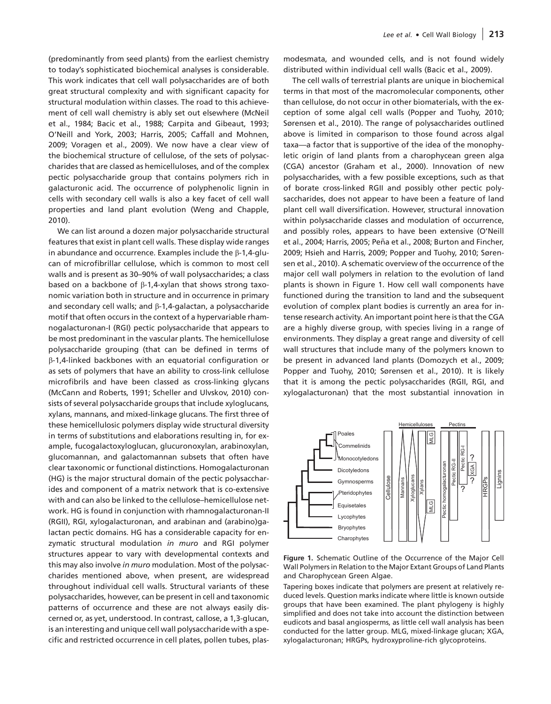(predominantly from seed plants) from the earliest chemistry to today's sophisticated biochemical analyses is considerable. This work indicates that cell wall polysaccharides are of both great structural complexity and with significant capacity for structural modulation within classes. The road to this achievement of cell wall chemistry is ably set out elsewhere (McNeil et al., 1984; Bacic et al., 1988; Carpita and Gibeaut, 1993; O'Neill and York, 2003; Harris, 2005; Caffall and Mohnen, 2009; Voragen et al., 2009). We now have a clear view of the biochemical structure of cellulose, of the sets of polysaccharides that are classed as hemicelluloses, and of the complex pectic polysaccharide group that contains polymers rich in galacturonic acid. The occurrence of polyphenolic lignin in cells with secondary cell walls is also a key facet of cell wall properties and land plant evolution (Weng and Chapple, 2010).

We can list around a dozen major polysaccharide structural features that exist in plant cell walls. These display wide ranges in abundance and occurrence. Examples include the B-1.4-glucan of microfibrillar cellulose, which is common to most cell walls and is present as 30–90% of wall polysaccharides; a class based on a backbone of  $\beta$ -1,4-xylan that shows strong taxonomic variation both in structure and in occurrence in primary and secondary cell walls; and  $\beta$ -1,4-galactan, a polysaccharide motif that often occurs in the context of a hypervariable rhamnogalacturonan-I (RGI) pectic polysaccharide that appears to be most predominant in the vascular plants. The hemicellulose polysaccharide grouping (that can be defined in terms of b-1,4-linked backbones with an equatorial configuration or as sets of polymers that have an ability to cross-link cellulose microfibrils and have been classed as cross-linking glycans (McCann and Roberts, 1991; Scheller and Ulvskov, 2010) consists of several polysaccharide groups that include xyloglucans, xylans, mannans, and mixed-linkage glucans. The first three of these hemicellulosic polymers display wide structural diversity in terms of substitutions and elaborations resulting in, for example, fucogalactoxyloglucan, glucuronoxylan, arabinoxylan, glucomannan, and galactomannan subsets that often have clear taxonomic or functional distinctions. Homogalacturonan (HG) is the major structural domain of the pectic polysaccharides and component of a matrix network that is co-extensive with and can also be linked to the cellulose–hemicellulose network. HG is found in conjunction with rhamnogalacturonan-II (RGII), RGI, xylogalacturonan, and arabinan and (arabino)galactan pectic domains. HG has a considerable capacity for enzymatic structural modulation in muro and RGI polymer structures appear to vary with developmental contexts and this may also involve in muro modulation. Most of the polysaccharides mentioned above, when present, are widespread throughout individual cell walls. Structural variants of these polysaccharides, however, can be present in cell and taxonomic patterns of occurrence and these are not always easily discerned or, as yet, understood. In contrast, callose, a 1,3-glucan, is an interesting and unique cell wall polysaccharide with a specific and restricted occurrence in cell plates, pollen tubes, plasmodesmata, and wounded cells, and is not found widely distributed within individual cell walls (Bacic et al., 2009).

The cell walls of terrestrial plants are unique in biochemical terms in that most of the macromolecular components, other than cellulose, do not occur in other biomaterials, with the exception of some algal cell walls (Popper and Tuohy, 2010; Sørensen et al., 2010). The range of polysaccharides outlined above is limited in comparison to those found across algal taxa—a factor that is supportive of the idea of the monophyletic origin of land plants from a charophycean green alga (CGA) ancestor (Graham et al., 2000). Innovation of new polysaccharides, with a few possible exceptions, such as that of borate cross-linked RGII and possibly other pectic polysaccharides, does not appear to have been a feature of land plant cell wall diversification. However, structural innovation within polysaccharide classes and modulation of occurrence, and possibly roles, appears to have been extensive (O'Neill et al., 2004; Harris, 2005; Peña et al., 2008; Burton and Fincher, 2009; Hsieh and Harris, 2009; Popper and Tuohy, 2010; Sørensen et al., 2010). A schematic overview of the occurrence of the major cell wall polymers in relation to the evolution of land plants is shown in Figure 1. How cell wall components have functioned during the transition to land and the subsequent evolution of complex plant bodies is currently an area for intense research activity. An important point here is that the CGA are a highly diverse group, with species living in a range of environments. They display a great range and diversity of cell wall structures that include many of the polymers known to be present in advanced land plants (Domozych et al., 2009; Popper and Tuohy, 2010; Sørensen et al., 2010). It is likely that it is among the pectic polysaccharides (RGII, RGI, and xylogalacturonan) that the most substantial innovation in



Figure 1. Schematic Outline of the Occurrence of the Major Cell Wall Polymers in Relation to the Major Extant Groups of Land Plants and Charophycean Green Algae.

Tapering boxes indicate that polymers are present at relatively reduced levels. Question marks indicate where little is known outside groups that have been examined. The plant phylogeny is highly simplified and does not take into account the distinction between eudicots and basal angiosperms, as little cell wall analysis has been conducted for the latter group. MLG, mixed-linkage glucan; XGA, xylogalacturonan; HRGPs, hydroxyproline-rich glycoproteins.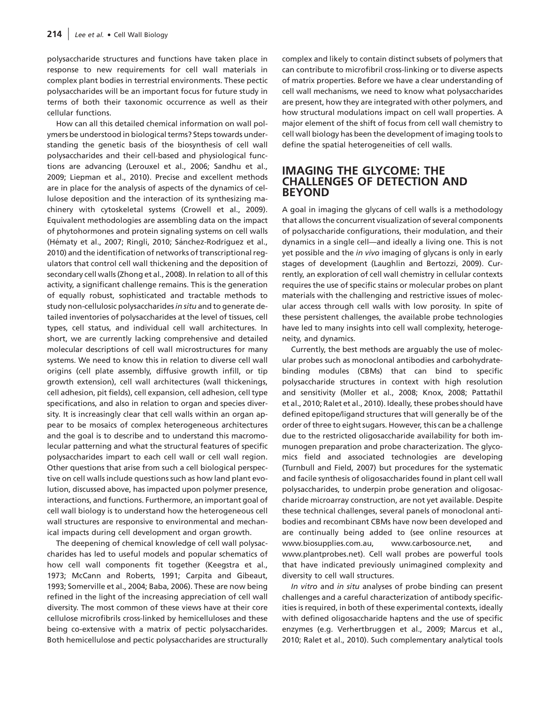polysaccharide structures and functions have taken place in response to new requirements for cell wall materials in complex plant bodies in terrestrial environments. These pectic polysaccharides will be an important focus for future study in terms of both their taxonomic occurrence as well as their cellular functions.

How can all this detailed chemical information on wall polymers be understood in biological terms? Steps towards understanding the genetic basis of the biosynthesis of cell wall polysaccharides and their cell-based and physiological functions are advancing (Lerouxel et al., 2006; Sandhu et al., 2009; Liepman et al., 2010). Precise and excellent methods are in place for the analysis of aspects of the dynamics of cellulose deposition and the interaction of its synthesizing machinery with cytoskeletal systems (Crowell et al., 2009). Equivalent methodologies are assembling data on the impact of phytohormones and protein signaling systems on cell walls (Hématy et al., 2007; Ringli, 2010; Sánchez-Rodríguez et al., 2010) and the identification of networks of transcriptional regulators that control cell wall thickening and the deposition of secondary cell walls (Zhong et al., 2008). In relation to all of this activity, a significant challenge remains. This is the generation of equally robust, sophisticated and tractable methods to study non-cellulosic polysaccharides in situ and to generate detailed inventories of polysaccharides at the level of tissues, cell types, cell status, and individual cell wall architectures. In short, we are currently lacking comprehensive and detailed molecular descriptions of cell wall microstructures for many systems. We need to know this in relation to diverse cell wall origins (cell plate assembly, diffusive growth infill, or tip growth extension), cell wall architectures (wall thickenings, cell adhesion, pit fields), cell expansion, cell adhesion, cell type specifications, and also in relation to organ and species diversity. It is increasingly clear that cell walls within an organ appear to be mosaics of complex heterogeneous architectures and the goal is to describe and to understand this macromolecular patterning and what the structural features of specific polysaccharides impart to each cell wall or cell wall region. Other questions that arise from such a cell biological perspective on cell walls include questions such as how land plant evolution, discussed above, has impacted upon polymer presence, interactions, and functions. Furthermore, an important goal of cell wall biology is to understand how the heterogeneous cell wall structures are responsive to environmental and mechanical impacts during cell development and organ growth.

The deepening of chemical knowledge of cell wall polysaccharides has led to useful models and popular schematics of how cell wall components fit together (Keegstra et al., 1973; McCann and Roberts, 1991; Carpita and Gibeaut, 1993; Somerville et al., 2004; Baba, 2006). These are now being refined in the light of the increasing appreciation of cell wall diversity. The most common of these views have at their core cellulose microfibrils cross-linked by hemicelluloses and these being co-extensive with a matrix of pectic polysaccharides. Both hemicellulose and pectic polysaccharides are structurally

complex and likely to contain distinct subsets of polymers that can contribute to microfibril cross-linking or to diverse aspects of matrix properties. Before we have a clear understanding of cell wall mechanisms, we need to know what polysaccharides are present, how they are integrated with other polymers, and how structural modulations impact on cell wall properties. A major element of the shift of focus from cell wall chemistry to cell wall biology has been the development of imaging tools to define the spatial heterogeneities of cell walls.

# IMAGING THE GLYCOME: THE CHALLENGES OF DETECTION AND BEYOND

A goal in imaging the glycans of cell walls is a methodology that allows the concurrent visualization of several components of polysaccharide configurations, their modulation, and their dynamics in a single cell—and ideally a living one. This is not yet possible and the in vivo imaging of glycans is only in early stages of development (Laughlin and Bertozzi, 2009). Currently, an exploration of cell wall chemistry in cellular contexts requires the use of specific stains or molecular probes on plant materials with the challenging and restrictive issues of molecular access through cell walls with low porosity. In spite of these persistent challenges, the available probe technologies have led to many insights into cell wall complexity, heterogeneity, and dynamics.

Currently, the best methods are arguably the use of molecular probes such as monoclonal antibodies and carbohydratebinding modules (CBMs) that can bind to specific polysaccharide structures in context with high resolution and sensitivity (Moller et al., 2008; Knox, 2008; Pattathil et al., 2010; Ralet et al., 2010). Ideally, these probes should have defined epitope/ligand structures that will generally be of the order of three to eight sugars. However, this can be a challenge due to the restricted oligosaccharide availability for both immunogen preparation and probe characterization. The glycomics field and associated technologies are developing (Turnbull and Field, 2007) but procedures for the systematic and facile synthesis of oligosaccharides found in plant cell wall polysaccharides, to underpin probe generation and oligosaccharide microarray construction, are not yet available. Despite these technical challenges, several panels of monoclonal antibodies and recombinant CBMs have now been developed and are continually being added to (see online resources at [www.biosupplies.com.au,](www.biosupplies.com.au) [www.carbosource.net,](www.carbosource.net) and <www.plantprobes.net>). Cell wall probes are powerful tools that have indicated previously unimagined complexity and diversity to cell wall structures.

In vitro and in situ analyses of probe binding can present challenges and a careful characterization of antibody specificities is required, in both of these experimental contexts, ideally with defined oligosaccharide haptens and the use of specific enzymes (e.g. Verhertbruggen et al., 2009; Marcus et al., 2010; Ralet et al., 2010). Such complementary analytical tools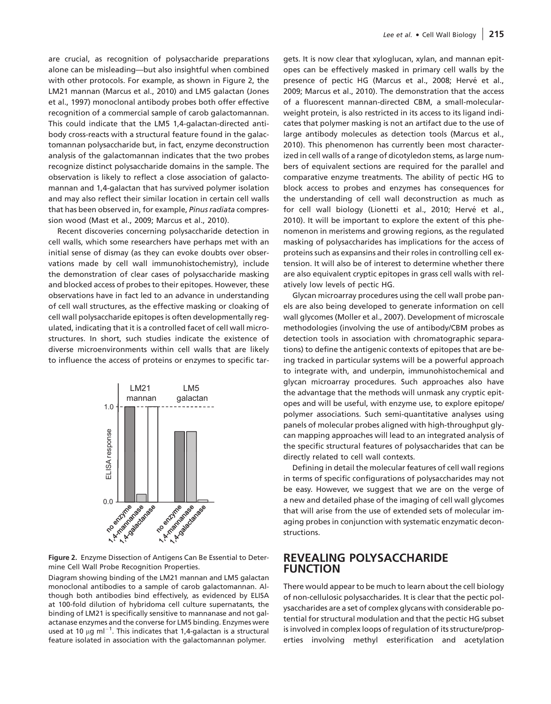are crucial, as recognition of polysaccharide preparations alone can be misleading—but also insightful when combined with other protocols. For example, as shown in Figure 2, the LM21 mannan (Marcus et al., 2010) and LM5 galactan (Jones et al., 1997) monoclonal antibody probes both offer effective recognition of a commercial sample of carob galactomannan. This could indicate that the LM5 1,4-galactan-directed antibody cross-reacts with a structural feature found in the galactomannan polysaccharide but, in fact, enzyme deconstruction analysis of the galactomannan indicates that the two probes recognize distinct polysaccharide domains in the sample. The observation is likely to reflect a close association of galactomannan and 1,4-galactan that has survived polymer isolation and may also reflect their similar location in certain cell walls that has been observed in, for example, Pinus radiata compression wood (Mast et al., 2009; Marcus et al., 2010).

Recent discoveries concerning polysaccharide detection in cell walls, which some researchers have perhaps met with an initial sense of dismay (as they can evoke doubts over observations made by cell wall immunohistochemistry), include the demonstration of clear cases of polysaccharide masking and blocked access of probes to their epitopes. However, these observations have in fact led to an advance in understanding of cell wall structures, as the effective masking or cloaking of cell wall polysaccharide epitopes is often developmentally regulated, indicating that it is a controlled facet of cell wall microstructures. In short, such studies indicate the existence of diverse microenvironments within cell walls that are likely to influence the access of proteins or enzymes to specific tar-



Figure 2. Enzyme Dissection of Antigens Can Be Essential to Determine Cell Wall Probe Recognition Properties.

Diagram showing binding of the LM21 mannan and LM5 galactan monoclonal antibodies to a sample of carob galactomannan. Although both antibodies bind effectively, as evidenced by ELISA at 100-fold dilution of hybridoma cell culture supernatants, the binding of LM21 is specifically sensitive to mannanase and not galactanase enzymes and the converse for LM5 binding. Enzymes were used at 10  $\mu$ g ml<sup>-1</sup>. This indicates that 1,4-galactan is a structural feature isolated in association with the galactomannan polymer.

gets. It is now clear that xyloglucan, xylan, and mannan epitopes can be effectively masked in primary cell walls by the presence of pectic HG (Marcus et al., 2008; Hervé et al., 2009; Marcus et al., 2010). The demonstration that the access of a fluorescent mannan-directed CBM, a small-molecularweight protein, is also restricted in its access to its ligand indicates that polymer masking is not an artifact due to the use of large antibody molecules as detection tools (Marcus et al., 2010). This phenomenon has currently been most characterized in cell walls of a range of dicotyledon stems, as large numbers of equivalent sections are required for the parallel and comparative enzyme treatments. The ability of pectic HG to block access to probes and enzymes has consequences for the understanding of cell wall deconstruction as much as for cell wall biology (Lionetti et al., 2010; Hervé et al., 2010). It will be important to explore the extent of this phenomenon in meristems and growing regions, as the regulated masking of polysaccharides has implications for the access of proteins such as expansins and their roles in controlling cell extension. It will also be of interest to determine whether there are also equivalent cryptic epitopes in grass cell walls with relatively low levels of pectic HG.

Glycan microarray procedures using the cell wall probe panels are also being developed to generate information on cell wall glycomes (Moller et al., 2007). Development of microscale methodologies (involving the use of antibody/CBM probes as detection tools in association with chromatographic separations) to define the antigenic contexts of epitopes that are being tracked in particular systems will be a powerful approach to integrate with, and underpin, immunohistochemical and glycan microarray procedures. Such approaches also have the advantage that the methods will unmask any cryptic epitopes and will be useful, with enzyme use, to explore epitope/ polymer associations. Such semi-quantitative analyses using panels of molecular probes aligned with high-throughput glycan mapping approaches will lead to an integrated analysis of the specific structural features of polysaccharides that can be directly related to cell wall contexts.

Defining in detail the molecular features of cell wall regions in terms of specific configurations of polysaccharides may not be easy. However, we suggest that we are on the verge of a new and detailed phase of the imaging of cell wall glycomes that will arise from the use of extended sets of molecular imaging probes in conjunction with systematic enzymatic deconstructions.

# REVEALING POLYSACCHARIDE FUNCTION

There would appear to be much to learn about the cell biology of non-cellulosic polysaccharides. It is clear that the pectic polysaccharides are a set of complex glycans with considerable potential for structural modulation and that the pectic HG subset is involved in complex loops of regulation of its structure/properties involving methyl esterification and acetylation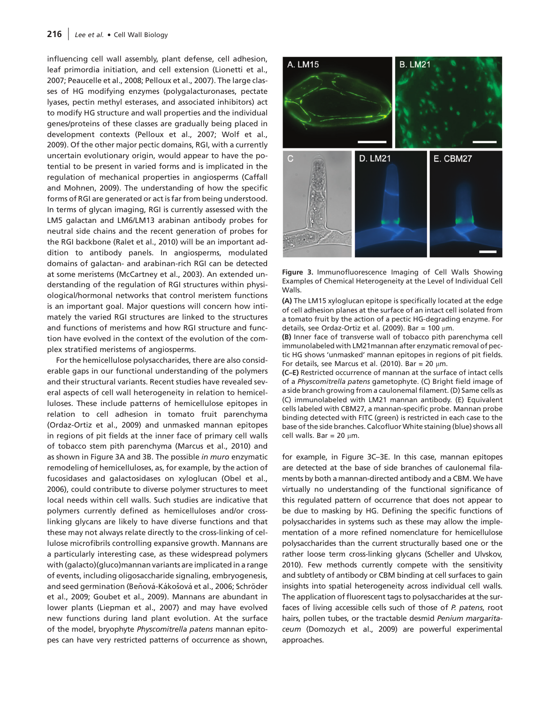#### 216  $|$  Lee et al.  $\bullet$  Cell Wall Biology

influencing cell wall assembly, plant defense, cell adhesion, leaf primordia initiation, and cell extension (Lionetti et al., 2007; Peaucelle et al., 2008; Pelloux et al., 2007). The large classes of HG modifying enzymes (polygalacturonases, pectate lyases, pectin methyl esterases, and associated inhibitors) act to modify HG structure and wall properties and the individual genes/proteins of these classes are gradually being placed in development contexts (Pelloux et al., 2007; Wolf et al., 2009). Of the other major pectic domains, RGI, with a currently uncertain evolutionary origin, would appear to have the potential to be present in varied forms and is implicated in the regulation of mechanical properties in angiosperms (Caffall and Mohnen, 2009). The understanding of how the specific forms of RGI are generated or act is far from being understood. In terms of glycan imaging, RGI is currently assessed with the LM5 galactan and LM6/LM13 arabinan antibody probes for neutral side chains and the recent generation of probes for the RGI backbone (Ralet et al., 2010) will be an important addition to antibody panels. In angiosperms, modulated domains of galactan- and arabinan-rich RGI can be detected at some meristems (McCartney et al., 2003). An extended understanding of the regulation of RGI structures within physiological/hormonal networks that control meristem functions is an important goal. Major questions will concern how intimately the varied RGI structures are linked to the structures and functions of meristems and how RGI structure and function have evolved in the context of the evolution of the complex stratified meristems of angiosperms.

For the hemicellulose polysaccharides, there are also considerable gaps in our functional understanding of the polymers and their structural variants. Recent studies have revealed several aspects of cell wall heterogeneity in relation to hemicelluloses. These include patterns of hemicellulose epitopes in relation to cell adhesion in tomato fruit parenchyma (Ordaz-Ortiz et al., 2009) and unmasked mannan epitopes in regions of pit fields at the inner face of primary cell walls of tobacco stem pith parenchyma (Marcus et al., 2010) and as shown in Figure 3A and 3B. The possible in muro enzymatic remodeling of hemicelluloses, as, for example, by the action of fucosidases and galactosidases on xyloglucan (Obel et al., 2006), could contribute to diverse polymer structures to meet local needs within cell walls. Such studies are indicative that polymers currently defined as hemicelluloses and/or crosslinking glycans are likely to have diverse functions and that these may not always relate directly to the cross-linking of cellulose microfibrils controlling expansive growth. Mannans are a particularly interesting case, as these widespread polymers with (galacto)(gluco)mannan variants are implicated in a range of events, including oligosaccharide signaling, embryogenesis, and seed germination (Beňová-Kákošová et al., 2006; Schröder et al., 2009; Goubet et al., 2009). Mannans are abundant in lower plants (Liepman et al., 2007) and may have evolved new functions during land plant evolution. At the surface of the model, bryophyte Physcomitrella patens mannan epitopes can have very restricted patterns of occurrence as shown,





(A) The LM15 xyloglucan epitope is specifically located at the edge of cell adhesion planes at the surface of an intact cell isolated from a tomato fruit by the action of a pectic HG-degrading enzyme. For details, see Ordaz-Ortiz et al. (2009). Bar = 100  $\mu$ m.

(B) Inner face of transverse wall of tobacco pith parenchyma cell immunolabeled with LM21mannan after enzymatic removal of pectic HG shows 'unmasked' mannan epitopes in regions of pit fields. For details, see Marcus et al. (2010). Bar = 20  $\mu$ m.

(C–E) Restricted occurrence of mannan at the surface of intact cells of a Physcomitrella patens gametophyte. (C) Bright field image of a side branch growing from a caulonemal filament. (D) Same cells as (C) immunolabeled with LM21 mannan antibody. (E) Equivalent cells labeled with CBM27, a mannan-specific probe. Mannan probe binding detected with FITC (green) is restricted in each case to the base of the side branches. Calcofluor White staining (blue) shows all cell walls. Bar = 20  $\mu$ m.

for example, in Figure 3C–3E. In this case, mannan epitopes are detected at the base of side branches of caulonemal filaments by both a mannan-directed antibody and a CBM. We have virtually no understanding of the functional significance of this regulated pattern of occurrence that does not appear to be due to masking by HG. Defining the specific functions of polysaccharides in systems such as these may allow the implementation of a more refined nomenclature for hemicellulose polysaccharides than the current structurally based one or the rather loose term cross-linking glycans (Scheller and Ulvskov, 2010). Few methods currently compete with the sensitivity and subtlety of antibody or CBM binding at cell surfaces to gain insights into spatial heterogeneity across individual cell walls. The application of fluorescent tags to polysaccharides at the surfaces of living accessible cells such of those of P. patens, root hairs, pollen tubes, or the tractable desmid Penium margaritaceum (Domozych et al., 2009) are powerful experimental approaches.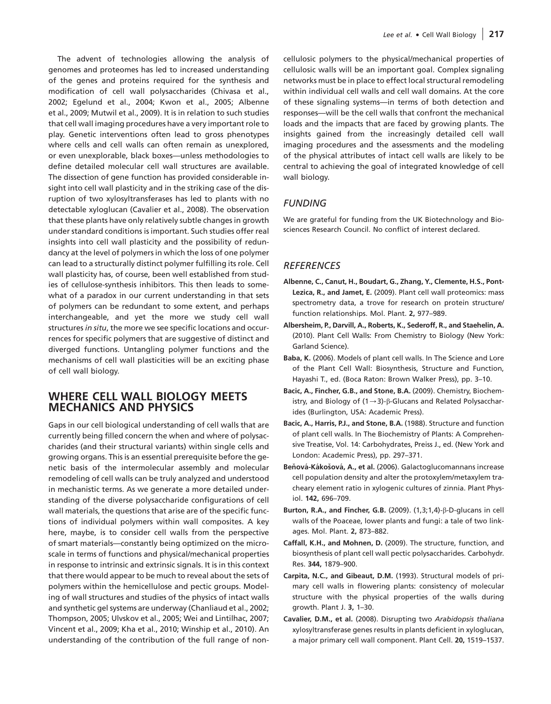The advent of technologies allowing the analysis of genomes and proteomes has led to increased understanding of the genes and proteins required for the synthesis and modification of cell wall polysaccharides (Chivasa et al., 2002; Egelund et al., 2004; Kwon et al., 2005; Albenne et al., 2009; Mutwil et al., 2009). It is in relation to such studies that cell wall imaging procedures have a very important role to play. Genetic interventions often lead to gross phenotypes where cells and cell walls can often remain as unexplored, or even unexplorable, black boxes—unless methodologies to define detailed molecular cell wall structures are available. The dissection of gene function has provided considerable insight into cell wall plasticity and in the striking case of the disruption of two xylosyltransferases has led to plants with no detectable xyloglucan (Cavalier et al., 2008). The observation that these plants have only relatively subtle changes in growth under standard conditions is important. Such studies offer real insights into cell wall plasticity and the possibility of redundancy at the level of polymers in which the loss of one polymer can lead to a structurally distinct polymer fulfilling its role. Cell wall plasticity has, of course, been well established from studies of cellulose-synthesis inhibitors. This then leads to somewhat of a paradox in our current understanding in that sets of polymers can be redundant to some extent, and perhaps interchangeable, and yet the more we study cell wall structures in situ, the more we see specific locations and occurrences for specific polymers that are suggestive of distinct and diverged functions. Untangling polymer functions and the mechanisms of cell wall plasticities will be an exciting phase of cell wall biology.

# WHERE CELL WALL BIOLOGY MEETS MECHANICS AND PHYSICS

Gaps in our cell biological understanding of cell walls that are currently being filled concern the when and where of polysaccharides (and their structural variants) within single cells and growing organs. This is an essential prerequisite before the genetic basis of the intermolecular assembly and molecular remodeling of cell walls can be truly analyzed and understood in mechanistic terms. As we generate a more detailed understanding of the diverse polysaccharide configurations of cell wall materials, the questions that arise are of the specific functions of individual polymers within wall composites. A key here, maybe, is to consider cell walls from the perspective of smart materials—constantly being optimized on the microscale in terms of functions and physical/mechanical properties in response to intrinsic and extrinsic signals. It is in this context that there would appear to be much to reveal about the sets of polymers within the hemicellulose and pectic groups. Modeling of wall structures and studies of the physics of intact walls and synthetic gel systems are underway (Chanliaud et al., 2002; Thompson, 2005; Ulvskov et al., 2005; Wei and Lintilhac, 2007; Vincent et al., 2009; Kha et al., 2010; Winship et al., 2010). An understanding of the contribution of the full range of noncellulosic polymers to the physical/mechanical properties of cellulosic walls will be an important goal. Complex signaling networks must be in place to effect local structural remodeling within individual cell walls and cell wall domains. At the core of these signaling systems—in terms of both detection and responses—will be the cell walls that confront the mechanical loads and the impacts that are faced by growing plants. The insights gained from the increasingly detailed cell wall imaging procedures and the assessments and the modeling of the physical attributes of intact cell walls are likely to be central to achieving the goal of integrated knowledge of cell wall biology.

# **FUNDING**

We are grateful for funding from the UK Biotechnology and Biosciences Research Council. No conflict of interest declared.

# **REFERENCES**

- Albenne, C., Canut, H., Boudart, G., Zhang, Y., Clemente, H.S., Pont-Lezica, R., and Jamet, E. (2009). Plant cell wall proteomics: mass spectrometry data, a trove for research on protein structure/ function relationships. Mol. Plant. 2, 977–989.
- Albersheim, P., Darvill, A., Roberts, K., Sederoff, R., and Staehelin, A. (2010). Plant Cell Walls: From Chemistry to Biology (New York: Garland Science).
- Baba, K. (2006). Models of plant cell walls. In The Science and Lore of the Plant Cell Wall: Biosynthesis, Structure and Function, Hayashi T., ed. (Boca Raton: Brown Walker Press), pp. 3–10.
- Bacic, A., Fincher, G.B., and Stone, B.A. (2009). Chemistry, Biochemistry, and Biology of  $(1\rightarrow 3)$ - $\beta$ -Glucans and Related Polysaccharides (Burlington, USA: Academic Press).
- Bacic, A., Harris, P.J., and Stone, B.A. (1988). Structure and function of plant cell walls. In The Biochemistry of Plants: A Comprehensive Treatise, Vol. 14: Carbohydrates, Preiss J., ed. (New York and London: Academic Press), pp. 297–371.
- Beňová-Kákošová, A., et al. (2006). Galactoglucomannans increase cell population density and alter the protoxylem/metaxylem tracheary element ratio in xylogenic cultures of zinnia. Plant Physiol. 142, 696–709.
- Burton, R.A., and Fincher, G.B. (2009).  $(1,3;1,4)-\beta$ -D-glucans in cell walls of the Poaceae, lower plants and fungi: a tale of two linkages. Mol. Plant. 2, 873–882.
- Caffall, K.H., and Mohnen, D. (2009). The structure, function, and biosynthesis of plant cell wall pectic polysaccharides. Carbohydr. Res. 344, 1879–900.
- Carpita, N.C., and Gibeaut, D.M. (1993). Structural models of primary cell walls in flowering plants: consistency of molecular structure with the physical properties of the walls during growth. Plant J. 3, 1–30.
- Cavalier, D.M., et al. (2008). Disrupting two Arabidopsis thaliana xylosyltransferase genes results in plants deficient in xyloglucan, a major primary cell wall component. Plant Cell. 20, 1519–1537.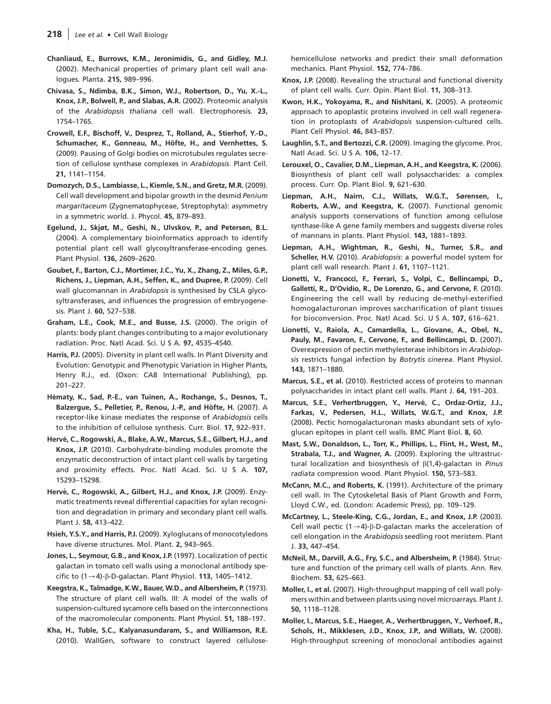- Chanliaud, E., Burrows, K.M., Jeronimidis, G., and Gidley, M.J. (2002). Mechanical properties of primary plant cell wall analogues. Planta. 215, 989–996.
- Chivasa, S., Ndimba, B.K., Simon, W.J., Robertson, D., Yu, X.-L., Knox, J.P., Bolwell, P., and Slabas, A.R. (2002). Proteomic analysis of the Arabidopsis thaliana cell wall. Electrophoresis. 23, 1754–1765.
- Crowell, E.F., Bischoff, V., Desprez, T., Rolland, A., Stierhof, Y.-D., Schumacher, K., Gonneau, M., Höfte, H., and Vernhettes, S. (2009). Pausing of Golgi bodies on microtubules regulates secretion of cellulose synthase complexes in Arabidopsis. Plant Cell. 21, 1141–1154.
- Domozych, D.S., Lambiasse, L., Kiemle, S.N., and Gretz, M.R. (2009). Cell wall development and bipolar growth in the desmid Penium margaritaceum (Zygnematophyceae, Streptophyta): asymmetry in a symmetric world. J. Phycol. 45, 879–893.
- Egelund, J., Skjøt, M., Geshi, N., Ulvskov, P., and Petersen, B.L. (2004). A complementary bioinformatics approach to identify potential plant cell wall glycosyltransferase-encoding genes. Plant Physiol. 136, 2609–2620.
- Goubet, F., Barton, C.J., Mortimer, J.C., Yu, X., Zhang, Z., Miles, G.P., Richens, J., Liepman, A.H., Seffen, K., and Dupree, P. (2009). Cell wall glucomannan in Arabidopsis is synthesised by CSLA glycosyltransferases, and influences the progression of embryogenesis. Plant J. 60, 527–538.
- Graham, L.E., Cook, M.E., and Busse, J.S. (2000). The origin of plants: body plant changes contributing to a major evolutionary radiation. Proc. Natl Acad. Sci. U S A. 97, 4535–4540.
- Harris, P.J. (2005). Diversity in plant cell walls. In Plant Diversity and Evolution: Genotypic and Phenotypic Variation in Higher Plants, Henry R.J., ed. (Oxon: CAB International Publishing), pp. 201–227.
- Hématy, K., Sad, P.-E., van Tuinen, A., Rochange, S., Desnos, T., Balzergue, S., Pelletier, P., Renou, J.-P., and Höfte, H. (2007). A receptor-like kinase mediates the response of Arabidopsis cells to the inhibition of cellulose synthesis. Curr. Biol. 17, 922–931.
- Hervé, C., Rogowski, A., Blake, A.W., Marcus, S.E., Gilbert, H.J., and Knox, J.P. (2010). Carbohydrate-binding modules promote the enzymatic deconstruction of intact plant cell walls by targeting and proximity effects. Proc. Natl Acad. Sci. U S A. 107, 15293–15298.
- Hervé, C., Rogowski, A., Gilbert, H.J., and Knox, J.P. (2009). Enzymatic treatments reveal differential capacities for xylan recognition and degradation in primary and secondary plant cell walls. Plant J. 58, 413–422.
- Hsieh, Y.S.Y., and Harris, P.J. (2009). Xyloglucans of monocotyledons have diverse structures. Mol. Plant. 2, 943–965.
- Jones, L., Seymour, G.B., and Knox, J.P. (1997). Localization of pectic galactan in tomato cell walls using a monoclonal antibody specific to  $(1\rightarrow4)$ - $\beta$ -D-galactan. Plant Physiol. 113, 1405–1412.
- Keegstra, K., Talmadge, K.W., Bauer, W.D., and Albersheim, P. (1973). The structure of plant cell walls. III: A model of the walls of suspension-cultured sycamore cells based on the interconnections of the macromolecular components. Plant Physiol. 51, 188–197.
- Kha, H., Tuble, S.C., Kalyanasundaram, S., and Williamson, R.E. (2010). WallGen, software to construct layered cellulose-

hemicellulose networks and predict their small deformation mechanics. Plant Physiol. 152, 774–786.

- Knox, J.P. (2008). Revealing the structural and functional diversity of plant cell walls. Curr. Opin. Plant Biol. 11, 308–313.
- Kwon, H.K., Yokoyama, R., and Nishitani, K. (2005). A proteomic approach to apoplastic proteins involved in cell wall regeneration in protoplasts of Arabidopsis suspension-cultured cells. Plant Cell Physiol. 46, 843–857.
- Laughlin, S.T., and Bertozzi, C.R. (2009). Imaging the glycome. Proc. Natl Acad. Sci. U S A. 106, 12–17.
- Lerouxel, O., Cavalier, D.M., Liepman, A.H., and Keegstra, K. (2006). Biosynthesis of plant cell wall polysaccharides: a complex process. Curr. Op. Plant Biol. 9, 621–630.
- Liepman, A.H., Nairn, C.J., Willats, W.G.T., Sørensen, I., Roberts, A.W., and Keegstra, K. (2007). Functional genomic analysis supports conservations of function among cellulose synthase-like A gene family members and suggests diverse roles of mannans in plants. Plant Physiol. 143, 1881–1893.
- Liepman, A.H., Wightman, R., Geshi, N., Turner, S.R., and Scheller, H.V. (2010). Arabidopsis: a powerful model system for plant cell wall research. Plant J. 61, 1107–1121.
- Lionetti, V., Francocci, F., Ferrari, S., Volpi, C., Bellincampi, D., Galletti, R., D'Ovidio, R., De Lorenzo, G., and Cervone, F. (2010). Engineering the cell wall by reducing de-methyl-esterified homogalacturonan improves saccharification of plant tissues for bioconversion. Proc. Natl Acad. Sci. U S A. 107, 616–621.
- Lionetti, V., Raiola, A., Camardella, L., Giovane, A., Obel, N., Pauly, M., Favaron, F., Cervone, F., and Bellincampi, D. (2007). Overexpression of pectin methylesterase inhibitors in Arabidopsis restricts fungal infection by Botrytis cinerea. Plant Physiol. 143, 1871–1880.
- Marcus, S.E., et al. (2010). Restricted access of proteins to mannan polysaccharides in intact plant cell walls. Plant J. 64, 191–203.
- Marcus, S.E., Verhertbruggen, Y., Hervé, C., Ordaz-Ortiz, J.J., Farkas, V., Pedersen, H.L., Willats, W.G.T., and Knox, J.P. (2008). Pectic homogalacturonan masks abundant sets of xyloglucan epitopes in plant cell walls. BMC Plant Biol. 8, 60.
- Mast, S.W., Donaldson, L., Torr, K., Phillips, L., Flint, H., West, M., Strabala, T.J., and Wagner, A. (2009). Exploring the ultrastructural localization and biosynthesis of  $\beta$ (1,4)-galactan in Pinus radiata compression wood. Plant Physiol. 150, 573–583.
- McCann, M.C., and Roberts, K. (1991). Architecture of the primary cell wall. In The Cytoskeletal Basis of Plant Growth and Form, Lloyd C.W., ed. (London: Academic Press), pp. 109–129.
- McCartney, L., Steele-King, C.G., Jordan, E., and Knox, J.P. (2003). Cell wall pectic  $(1\rightarrow 4)$ - $\beta$ -D-galactan marks the acceleration of cell elongation in the Arabidopsis seedling root meristem. Plant J. 33, 447–454.
- McNeil, M., Darvill, A.G., Fry, S.C., and Albersheim, P. (1984). Structure and function of the primary cell walls of plants. Ann. Rev. Biochem. 53, 625–663.
- Moller, I., et al. (2007). High-throughput mapping of cell wall polymers within and between plants using novel microarrays. Plant J. 50, 1118–1128.
- Moller, I., Marcus, S.E., Haeger, A., Verhertbruggen, Y., Verhoef, R., Schols, H., Mikklesen, J.D., Knox, J.P., and Willats, W. (2008). High-throughput screening of monoclonal antibodies against